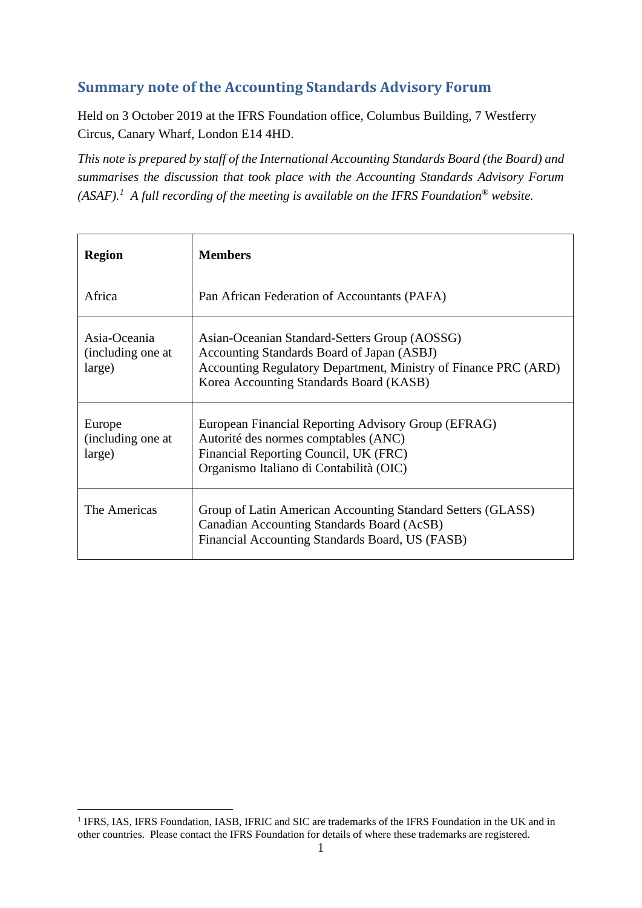# **Summary note of the Accounting Standards Advisory Forum**

Held on 3 October 2019 at the IFRS Foundation office, Columbus Building, 7 Westferry Circus, Canary Wharf, London E14 4HD.

*This note is prepared by staff of the International Accounting Standards Board (the Board) and summarises the discussion that took place with the Accounting Standards Advisory Forum (ASAF).<sup>1</sup> A full recording of the meeting is available on the IFRS Foundation® website.*

| <b>Region</b>                               | <b>Members</b>                                                                                                                                                                                            |
|---------------------------------------------|-----------------------------------------------------------------------------------------------------------------------------------------------------------------------------------------------------------|
| Africa                                      | Pan African Federation of Accountants (PAFA)                                                                                                                                                              |
| Asia-Oceania<br>(including one at<br>large) | Asian-Oceanian Standard-Setters Group (AOSSG)<br>Accounting Standards Board of Japan (ASBJ)<br>Accounting Regulatory Department, Ministry of Finance PRC (ARD)<br>Korea Accounting Standards Board (KASB) |
| Europe<br>(including one at<br>large)       | European Financial Reporting Advisory Group (EFRAG)<br>Autorité des normes comptables (ANC)<br>Financial Reporting Council, UK (FRC)<br>Organismo Italiano di Contabilità (OIC)                           |
| The Americas                                | Group of Latin American Accounting Standard Setters (GLASS)<br>Canadian Accounting Standards Board (AcSB)<br>Financial Accounting Standards Board, US (FASB)                                              |

<sup>&</sup>lt;sup>1</sup> IFRS, IAS, IFRS Foundation, IASB, IFRIC and SIC are trademarks of the IFRS Foundation in the UK and in other countries. Please contact the IFRS Foundation for details of where these trademarks are registered.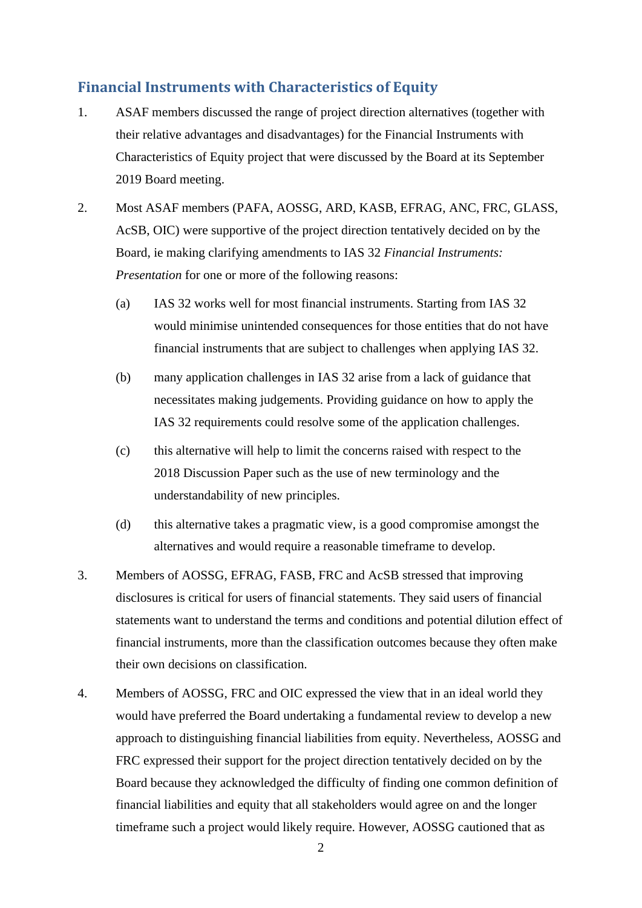# **Financial Instruments with Characteristics of Equity**

- 1. ASAF members discussed the range of project direction alternatives (together with their relative advantages and disadvantages) for the Financial Instruments with Characteristics of Equity project that were discussed by the Board at its September 2019 Board meeting.
- 2. Most ASAF members (PAFA, AOSSG, ARD, KASB, EFRAG, ANC, FRC, GLASS, AcSB, OIC) were supportive of the project direction tentatively decided on by the Board, ie making clarifying amendments to IAS 32 *Financial Instruments: Presentation* for one or more of the following reasons:
	- (a) IAS 32 works well for most financial instruments. Starting from IAS 32 would minimise unintended consequences for those entities that do not have financial instruments that are subject to challenges when applying IAS 32.
	- (b) many application challenges in IAS 32 arise from a lack of guidance that necessitates making judgements. Providing guidance on how to apply the IAS 32 requirements could resolve some of the application challenges.
	- (c) this alternative will help to limit the concerns raised with respect to the 2018 Discussion Paper such as the use of new terminology and the understandability of new principles.
	- (d) this alternative takes a pragmatic view, is a good compromise amongst the alternatives and would require a reasonable timeframe to develop.
- 3. Members of AOSSG, EFRAG, FASB, FRC and AcSB stressed that improving disclosures is critical for users of financial statements. They said users of financial statements want to understand the terms and conditions and potential dilution effect of financial instruments, more than the classification outcomes because they often make their own decisions on classification.
- 4. Members of AOSSG, FRC and OIC expressed the view that in an ideal world they would have preferred the Board undertaking a fundamental review to develop a new approach to distinguishing financial liabilities from equity. Nevertheless, AOSSG and FRC expressed their support for the project direction tentatively decided on by the Board because they acknowledged the difficulty of finding one common definition of financial liabilities and equity that all stakeholders would agree on and the longer timeframe such a project would likely require. However, AOSSG cautioned that as

2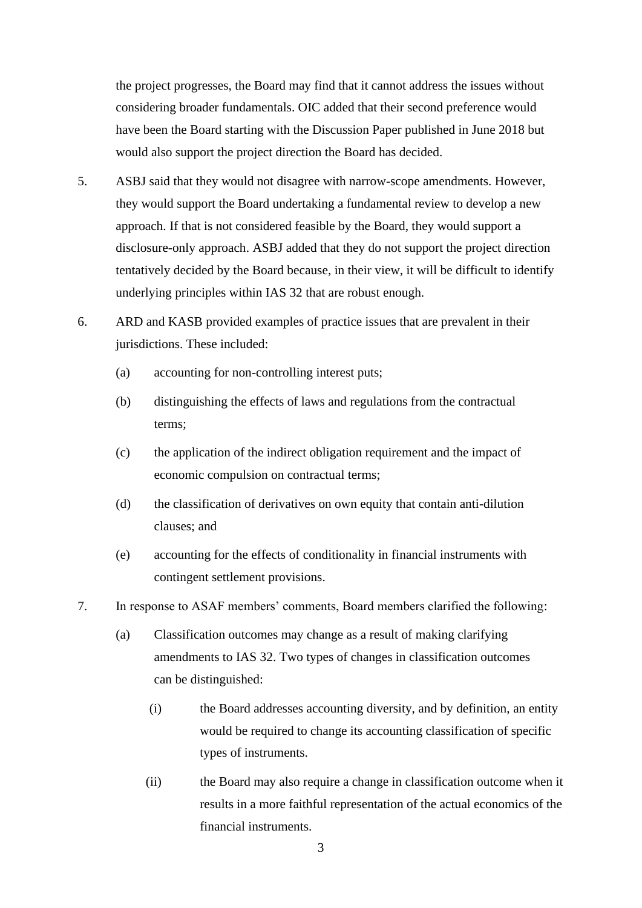the project progresses, the Board may find that it cannot address the issues without considering broader fundamentals. OIC added that their second preference would have been the Board starting with the Discussion Paper published in June 2018 but would also support the project direction the Board has decided.

- 5. ASBJ said that they would not disagree with narrow-scope amendments. However, they would support the Board undertaking a fundamental review to develop a new approach. If that is not considered feasible by the Board, they would support a disclosure-only approach. ASBJ added that they do not support the project direction tentatively decided by the Board because, in their view, it will be difficult to identify underlying principles within IAS 32 that are robust enough.
- 6. ARD and KASB provided examples of practice issues that are prevalent in their jurisdictions. These included:
	- (a) accounting for non-controlling interest puts;
	- (b) distinguishing the effects of laws and regulations from the contractual terms;
	- (c) the application of the indirect obligation requirement and the impact of economic compulsion on contractual terms;
	- (d) the classification of derivatives on own equity that contain anti-dilution clauses; and
	- (e) accounting for the effects of conditionality in financial instruments with contingent settlement provisions.
- 7. In response to ASAF members' comments, Board members clarified the following:
	- (a) Classification outcomes may change as a result of making clarifying amendments to IAS 32. Two types of changes in classification outcomes can be distinguished:
		- (i) the Board addresses accounting diversity, and by definition, an entity would be required to change its accounting classification of specific types of instruments.
		- (ii) the Board may also require a change in classification outcome when it results in a more faithful representation of the actual economics of the financial instruments.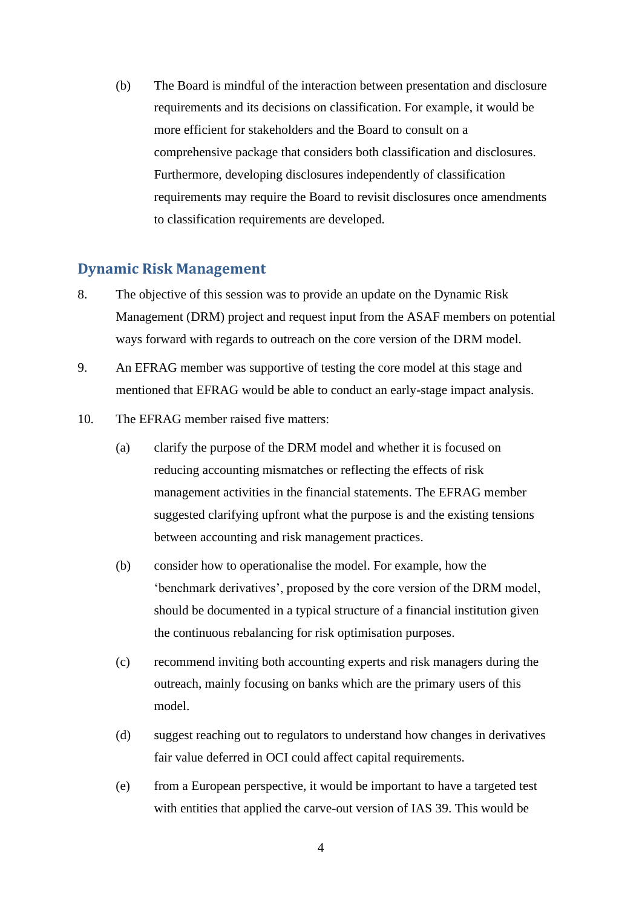(b) The Board is mindful of the interaction between presentation and disclosure requirements and its decisions on classification. For example, it would be more efficient for stakeholders and the Board to consult on a comprehensive package that considers both classification and disclosures. Furthermore, developing disclosures independently of classification requirements may require the Board to revisit disclosures once amendments to classification requirements are developed.

#### **Dynamic Risk Management**

- 8. The objective of this session was to provide an update on the Dynamic Risk Management (DRM) project and request input from the ASAF members on potential ways forward with regards to outreach on the core version of the DRM model.
- 9. An EFRAG member was supportive of testing the core model at this stage and mentioned that EFRAG would be able to conduct an early-stage impact analysis.
- 10. The EFRAG member raised five matters:
	- (a) clarify the purpose of the DRM model and whether it is focused on reducing accounting mismatches or reflecting the effects of risk management activities in the financial statements. The EFRAG member suggested clarifying upfront what the purpose is and the existing tensions between accounting and risk management practices.
	- (b) consider how to operationalise the model. For example, how the 'benchmark derivatives', proposed by the core version of the DRM model, should be documented in a typical structure of a financial institution given the continuous rebalancing for risk optimisation purposes.
	- (c) recommend inviting both accounting experts and risk managers during the outreach, mainly focusing on banks which are the primary users of this model.
	- (d) suggest reaching out to regulators to understand how changes in derivatives fair value deferred in OCI could affect capital requirements.
	- (e) from a European perspective, it would be important to have a targeted test with entities that applied the carve-out version of IAS 39. This would be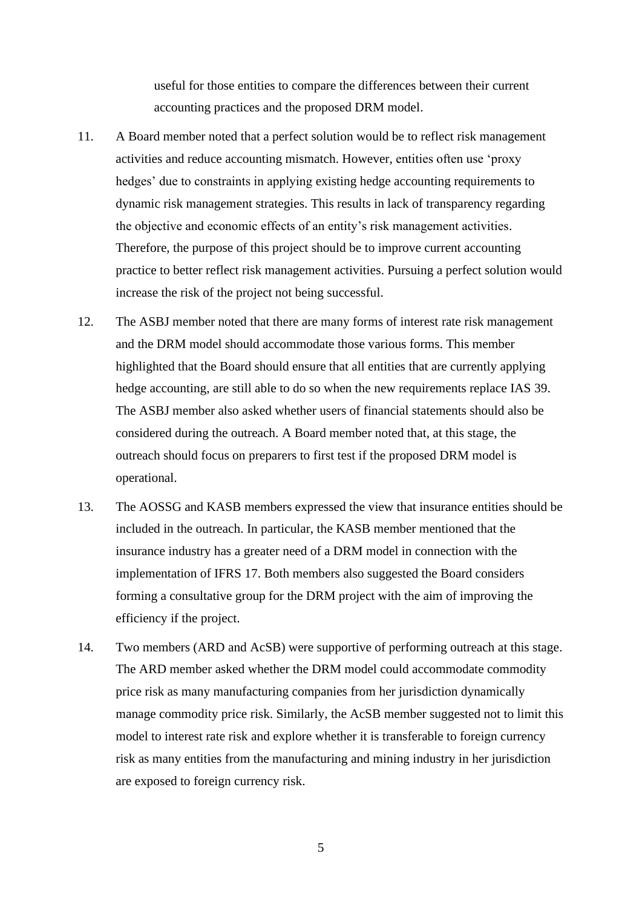useful for those entities to compare the differences between their current accounting practices and the proposed DRM model.

- 11. A Board member noted that a perfect solution would be to reflect risk management activities and reduce accounting mismatch. However, entities often use 'proxy hedges' due to constraints in applying existing hedge accounting requirements to dynamic risk management strategies. This results in lack of transparency regarding the objective and economic effects of an entity's risk management activities. Therefore, the purpose of this project should be to improve current accounting practice to better reflect risk management activities. Pursuing a perfect solution would increase the risk of the project not being successful.
- 12. The ASBJ member noted that there are many forms of interest rate risk management and the DRM model should accommodate those various forms. This member highlighted that the Board should ensure that all entities that are currently applying hedge accounting, are still able to do so when the new requirements replace IAS 39. The ASBJ member also asked whether users of financial statements should also be considered during the outreach. A Board member noted that, at this stage, the outreach should focus on preparers to first test if the proposed DRM model is operational.
- 13. The AOSSG and KASB members expressed the view that insurance entities should be included in the outreach. In particular, the KASB member mentioned that the insurance industry has a greater need of a DRM model in connection with the implementation of IFRS 17. Both members also suggested the Board considers forming a consultative group for the DRM project with the aim of improving the efficiency if the project.
- 14. Two members (ARD and AcSB) were supportive of performing outreach at this stage. The ARD member asked whether the DRM model could accommodate commodity price risk as many manufacturing companies from her jurisdiction dynamically manage commodity price risk. Similarly, the AcSB member suggested not to limit this model to interest rate risk and explore whether it is transferable to foreign currency risk as many entities from the manufacturing and mining industry in her jurisdiction are exposed to foreign currency risk.

5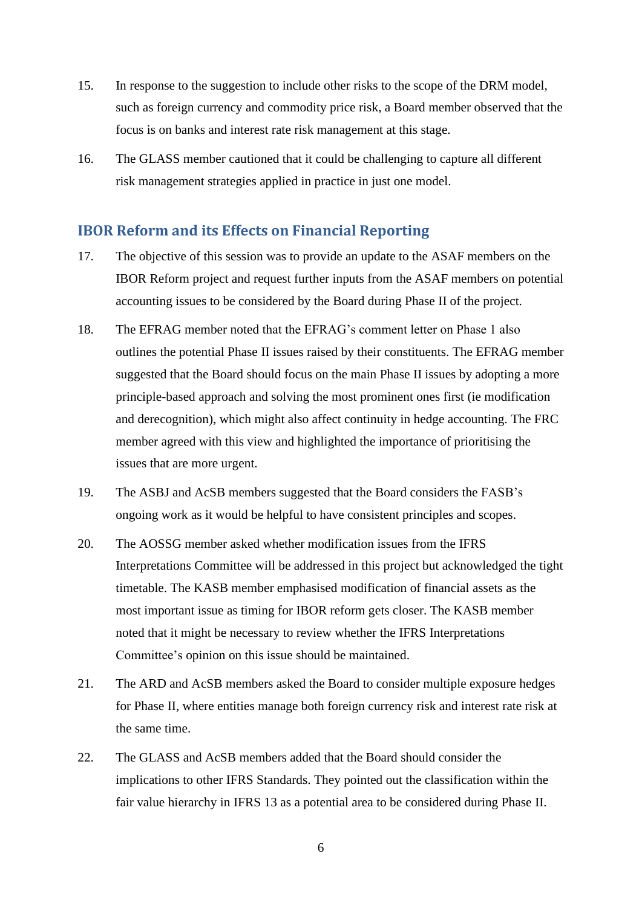- 15. In response to the suggestion to include other risks to the scope of the DRM model, such as foreign currency and commodity price risk, a Board member observed that the focus is on banks and interest rate risk management at this stage.
- 16. The GLASS member cautioned that it could be challenging to capture all different risk management strategies applied in practice in just one model.

#### **IBOR Reform and its Effects on Financial Reporting**

- 17. The objective of this session was to provide an update to the ASAF members on the IBOR Reform project and request further inputs from the ASAF members on potential accounting issues to be considered by the Board during Phase II of the project.
- 18. The EFRAG member noted that the EFRAG's comment letter on Phase 1 also outlines the potential Phase II issues raised by their constituents. The EFRAG member suggested that the Board should focus on the main Phase II issues by adopting a more principle-based approach and solving the most prominent ones first (ie modification and derecognition), which might also affect continuity in hedge accounting. The FRC member agreed with this view and highlighted the importance of prioritising the issues that are more urgent.
- 19. The ASBJ and AcSB members suggested that the Board considers the FASB's ongoing work as it would be helpful to have consistent principles and scopes.
- 20. The AOSSG member asked whether modification issues from the IFRS Interpretations Committee will be addressed in this project but acknowledged the tight timetable. The KASB member emphasised modification of financial assets as the most important issue as timing for IBOR reform gets closer. The KASB member noted that it might be necessary to review whether the IFRS Interpretations Committee's opinion on this issue should be maintained.
- 21. The ARD and AcSB members asked the Board to consider multiple exposure hedges for Phase II, where entities manage both foreign currency risk and interest rate risk at the same time.
- 22. The GLASS and AcSB members added that the Board should consider the implications to other IFRS Standards. They pointed out the classification within the fair value hierarchy in IFRS 13 as a potential area to be considered during Phase II.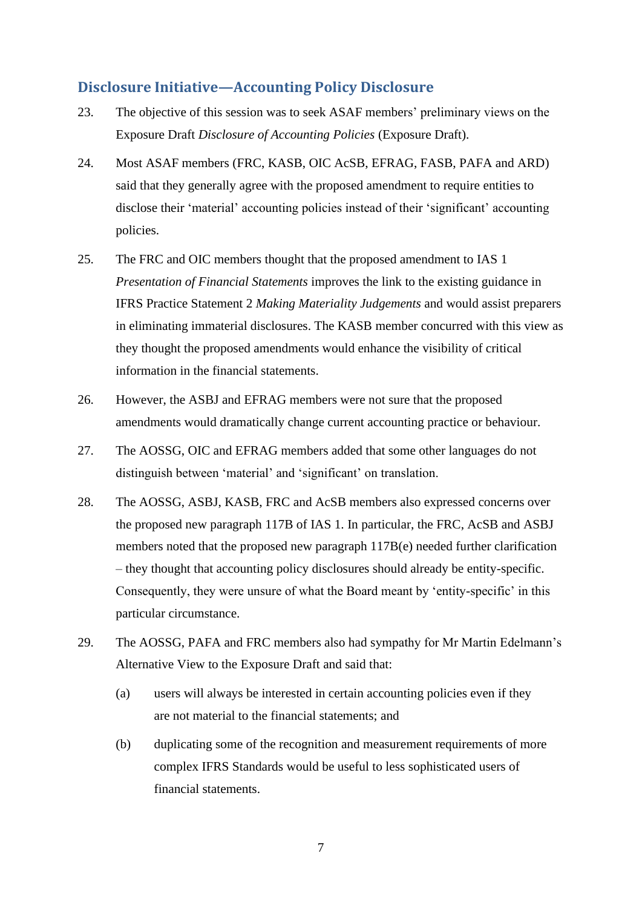### **Disclosure Initiative—Accounting Policy Disclosure**

- 23. The objective of this session was to seek ASAF members' preliminary views on the Exposure Draft *Disclosure of Accounting Policies* (Exposure Draft).
- 24. Most ASAF members (FRC, KASB, OIC AcSB, EFRAG, FASB, PAFA and ARD) said that they generally agree with the proposed amendment to require entities to disclose their 'material' accounting policies instead of their 'significant' accounting policies.
- 25. The FRC and OIC members thought that the proposed amendment to IAS 1 *Presentation of Financial Statements* improves the link to the existing guidance in IFRS Practice Statement 2 *Making Materiality Judgements* and would assist preparers in eliminating immaterial disclosures. The KASB member concurred with this view as they thought the proposed amendments would enhance the visibility of critical information in the financial statements.
- 26. However, the ASBJ and EFRAG members were not sure that the proposed amendments would dramatically change current accounting practice or behaviour.
- 27. The AOSSG, OIC and EFRAG members added that some other languages do not distinguish between 'material' and 'significant' on translation.
- 28. The AOSSG, ASBJ, KASB, FRC and AcSB members also expressed concerns over the proposed new paragraph 117B of IAS 1. In particular, the FRC, AcSB and ASBJ members noted that the proposed new paragraph 117B(e) needed further clarification – they thought that accounting policy disclosures should already be entity-specific. Consequently, they were unsure of what the Board meant by 'entity-specific' in this particular circumstance.
- 29. The AOSSG, PAFA and FRC members also had sympathy for Mr Martin Edelmann's Alternative View to the Exposure Draft and said that:
	- (a) users will always be interested in certain accounting policies even if they are not material to the financial statements; and
	- (b) duplicating some of the recognition and measurement requirements of more complex IFRS Standards would be useful to less sophisticated users of financial statements.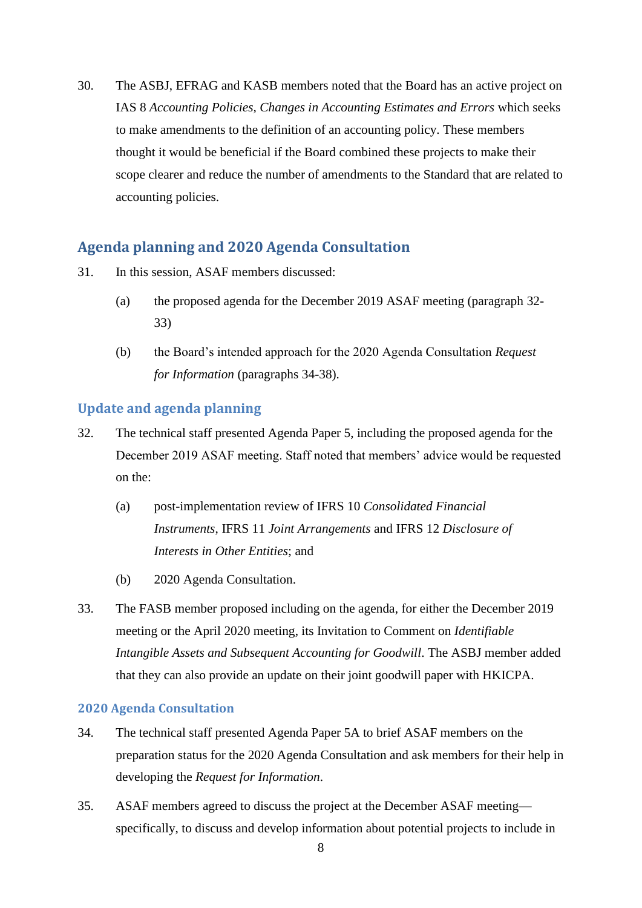30. The ASBJ, EFRAG and KASB members noted that the Board has an active project on IAS 8 *Accounting Policies, Changes in Accounting Estimates and Errors* which seeks to make amendments to the definition of an accounting policy. These members thought it would be beneficial if the Board combined these projects to make their scope clearer and reduce the number of amendments to the Standard that are related to accounting policies.

# **Agenda planning and 2020 Agenda Consultation**

- 31. In this session, ASAF members discussed:
	- (a) the proposed agenda for the December 2019 ASAF meeting (paragraph [32-](#page-7-0) [33\)](#page-7-1)
	- (b) the Board's intended approach for the 2020 Agenda Consultation *Request for Information* (paragraphs [34](#page-7-2)[-38\)](#page-8-0).

#### **Update and agenda planning**

- <span id="page-7-0"></span>32. The technical staff presented Agenda Paper 5, including the proposed agenda for the December 2019 ASAF meeting. Staff noted that members' advice would be requested on the:
	- (a) post-implementation review of IFRS 10 *Consolidated Financial Instruments*, IFRS 11 *Joint Arrangements* and IFRS 12 *Disclosure of Interests in Other Entities*; and
	- (b) 2020 Agenda Consultation.
- <span id="page-7-1"></span>33. The FASB member proposed including on the agenda, for either the December 2019 meeting or the April 2020 meeting, its Invitation to Comment on *Identifiable Intangible Assets and Subsequent Accounting for Goodwill*. The ASBJ member added that they can also provide an update on their joint goodwill paper with HKICPA.

#### **2020 Agenda Consultation**

- <span id="page-7-2"></span>34. The technical staff presented Agenda Paper 5A to brief ASAF members on the preparation status for the 2020 Agenda Consultation and ask members for their help in developing the *Request for Information*.
- 35. ASAF members agreed to discuss the project at the December ASAF meeting specifically, to discuss and develop information about potential projects to include in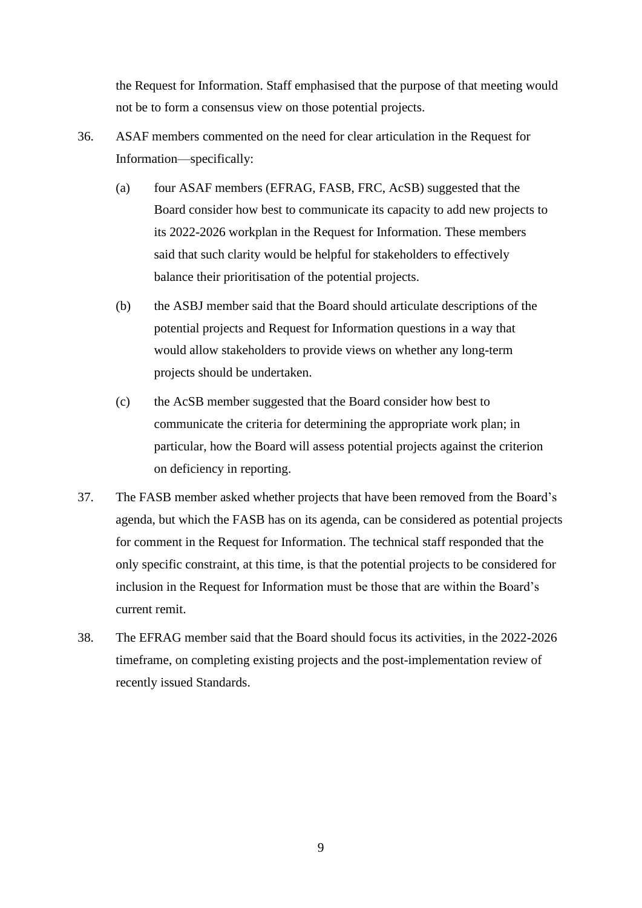the Request for Information. Staff emphasised that the purpose of that meeting would not be to form a consensus view on those potential projects.

- 36. ASAF members commented on the need for clear articulation in the Request for Information—specifically:
	- (a) four ASAF members (EFRAG, FASB, FRC, AcSB) suggested that the Board consider how best to communicate its capacity to add new projects to its 2022-2026 workplan in the Request for Information. These members said that such clarity would be helpful for stakeholders to effectively balance their prioritisation of the potential projects.
	- (b) the ASBJ member said that the Board should articulate descriptions of the potential projects and Request for Information questions in a way that would allow stakeholders to provide views on whether any long-term projects should be undertaken.
	- (c) the AcSB member suggested that the Board consider how best to communicate the criteria for determining the appropriate work plan; in particular, how the Board will assess potential projects against the criterion on deficiency in reporting.
- 37. The FASB member asked whether projects that have been removed from the Board's agenda, but which the FASB has on its agenda, can be considered as potential projects for comment in the Request for Information. The technical staff responded that the only specific constraint, at this time, is that the potential projects to be considered for inclusion in the Request for Information must be those that are within the Board's current remit.
- <span id="page-8-0"></span>38. The EFRAG member said that the Board should focus its activities, in the 2022-2026 timeframe, on completing existing projects and the post-implementation review of recently issued Standards.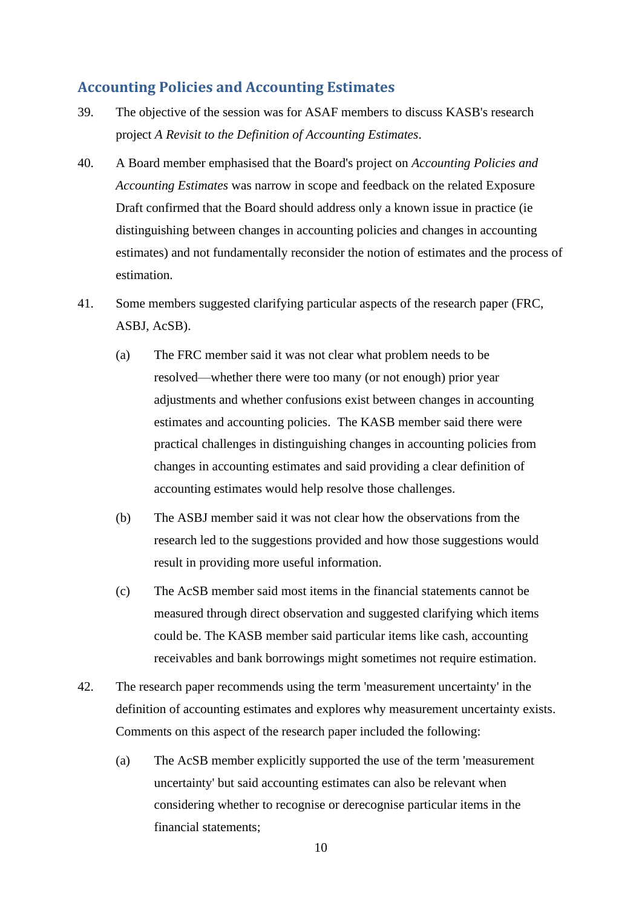# **Accounting Policies and Accounting Estimates**

- 39. The objective of the session was for ASAF members to discuss KASB's research project *A Revisit to the Definition of Accounting Estimates*.
- 40. A Board member emphasised that the Board's project on *Accounting Policies and Accounting Estimates* was narrow in scope and feedback on the related Exposure Draft confirmed that the Board should address only a known issue in practice (ie distinguishing between changes in accounting policies and changes in accounting estimates) and not fundamentally reconsider the notion of estimates and the process of estimation.
- 41. Some members suggested clarifying particular aspects of the research paper (FRC, ASBJ, AcSB).
	- (a) The FRC member said it was not clear what problem needs to be resolved—whether there were too many (or not enough) prior year adjustments and whether confusions exist between changes in accounting estimates and accounting policies. The KASB member said there were practical challenges in distinguishing changes in accounting policies from changes in accounting estimates and said providing a clear definition of accounting estimates would help resolve those challenges.
	- (b) The ASBJ member said it was not clear how the observations from the research led to the suggestions provided and how those suggestions would result in providing more useful information.
	- (c) The AcSB member said most items in the financial statements cannot be measured through direct observation and suggested clarifying which items could be. The KASB member said particular items like cash, accounting receivables and bank borrowings might sometimes not require estimation.
- 42. The research paper recommends using the term 'measurement uncertainty' in the definition of accounting estimates and explores why measurement uncertainty exists. Comments on this aspect of the research paper included the following:
	- (a) The AcSB member explicitly supported the use of the term 'measurement uncertainty' but said accounting estimates can also be relevant when considering whether to recognise or derecognise particular items in the financial statements;